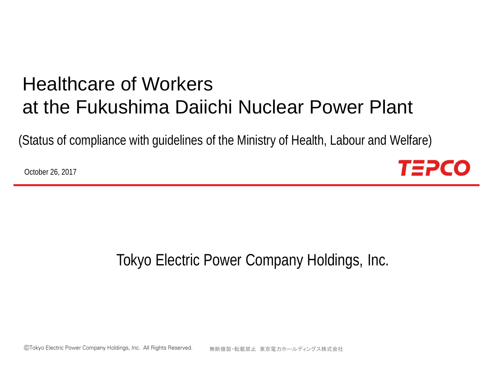# Healthcare of Workers at the Fukushima Daiichi Nuclear Power Plant

(Status of compliance with guidelines of the Ministry of Health, Labour and Welfare)

October 26, 2017



## Tokyo Electric Power Company Holdings, Inc.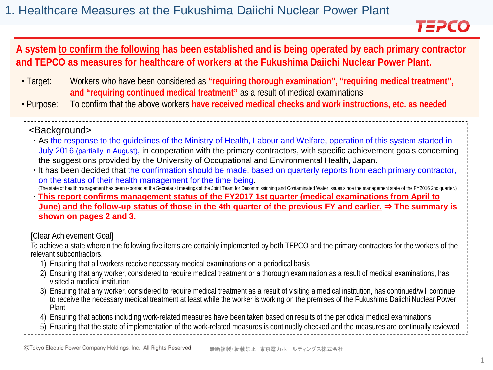## TEPCO

### **A system to confirm the following has been established and is being operated by each primary contractor and TEPCO as measures for healthcare of workers at the Fukushima Daiichi Nuclear Power Plant.**

- Target: Workers who have been considered as **"requiring thorough examination", "requiring medical treatment", and "requiring continued medical treatment"** as a result of medical examinations
- Purpose: To confirm that the above workers **have received medical checks and work instructions, etc. as needed**

#### <Background>

- As the response to the guidelines of the Ministry of Health, Labour and Welfare, operation of this system started in July 2016 (partially in August), in cooperation with the primary contractors, with specific achievement goals concerning the suggestions provided by the University of Occupational and Environmental Health, Japan.
- It has been decided that the confirmation should be made, based on quarterly reports from each primary contractor, on the status of their health management for the time being.

(The state of health management has been reported at the Secretariat meetings of the Joint Team for Decommissioning and Contaminated Water Issues since the management state of the FY2016 2nd quarter.)

**This report confirms management status of the FY2017 1st quarter (medical examinations from April to June) and the follow-up status of those in the 4th quarter of the previous FY and earlier.** ⇒ **The summary is shown on pages 2 and 3.**

[Clear Achievement Goal]

To achieve a state wherein the following five items are certainly implemented by both TEPCO and the primary contractors for the workers of the relevant subcontractors.

- 1) Ensuring that all workers receive necessary medical examinations on a periodical basis
- 2) Ensuring that any worker, considered to require medical treatment or a thorough examination as a result of medical examinations, has visited a medical institution
- 3) Ensuring that any worker, considered to require medical treatment as a result of visiting a medical institution, has continued/will continue to receive the necessary medical treatment at least while the worker is working on the premises of the Fukushima Daiichi Nuclear Power Plant
- 4) Ensuring that actions including work-related measures have been taken based on results of the periodical medical examinations
- 5) Ensuring that the state of implementation of the work-related measures is continually checked and the measures are continually reviewed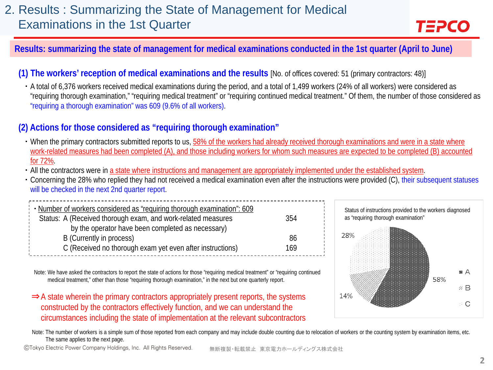#### **Results: summarizing the state of management for medical examinations conducted in the 1st quarter (April to June)**

#### **(1) The workers' reception of medical examinations and the results** [No. of offices covered: 51 (primary contractors: 48)]

▪ A total of 6,376 workers received medical examinations during the period, and a total of 1,499 workers (24% of all workers) were considered as "requiring thorough examination," "requiring medical treatment" or "requiring continued medical treatment." Of them, the number of those considered as "requiring a thorough examination" was 609 (9.6% of all workers).

#### **(2) Actions for those considered as "requiring thorough examination"**

- When the primary contractors submitted reports to us, 58% of the workers had already received thorough examinations and were in a state where work-related measures had been completed (A), and those including workers for whom such measures are expected to be completed (B) accounted for 72%.
- All the contractors were in a state where instructions and management are appropriately implemented under the established system.
- Concerning the 28% who replied they had not received a medical examination even after the instructions were provided (C), their subsequent statuses will be checked in the next 2nd quarter report.

| Number of workers considered as "requiring thorough examination": 609<br>Status: A (Received thorough exam, and work-related measures | 354 |  |
|---------------------------------------------------------------------------------------------------------------------------------------|-----|--|
| by the operator have been completed as necessary)                                                                                     |     |  |
| B (Currently in process)                                                                                                              | 86  |  |
| C (Received no thorough exam yet even after instructions)                                                                             | 169 |  |

Note: We have asked the contractors to report the state of actions for those "requiring medical treatment" or "requiring continued medical treatment," other than those "requiring thorough examination," in the next but one quarterly report.

⇒A state wherein the primary contractors appropriately present reports, the systems constructed by the contractors effectively function, and we can understand the circumstances including the state of implementation at the relevant subcontractors



Note: The number of workers is a simple sum of those reported from each company and may include double counting due to relocation of workers or the counting system by examination items, etc. The same applies to the next page.

CTokyo Electric Power Company Holdings, Inc. All Rights Reserved. 無断複製・転載禁止 東京電力ホールディングス株式会社